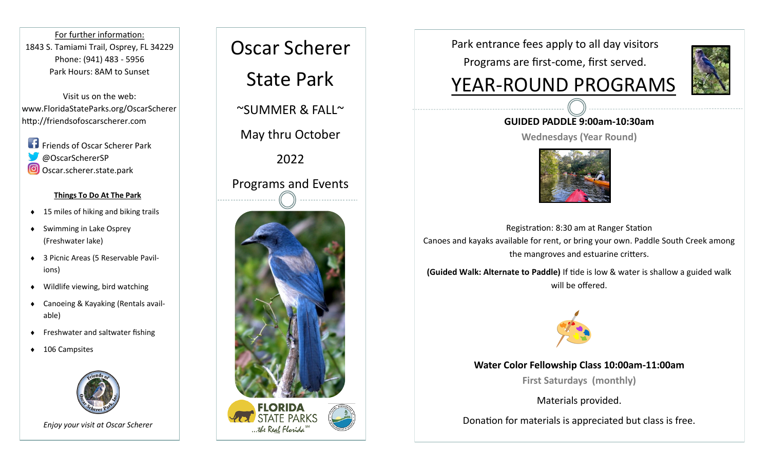For further information: 1843 S. Tamiami Trail, Osprey, FL 34229 Phone: (941) 483 - 5956 Park Hours: 8AM to Sunset

Visit us on the web: www.FloridaStateParks.org/OscarScherer http://friendsofoscarscherer.com

**Friends of Oscar Scherer Park** @OscarSchererSP O Oscar.scherer.state.park

#### **Things To Do At The Park**

- $\triangleleft$  15 miles of hiking and biking trails
- ◆ Swimming in Lake Osprey (Freshwater lake)
- ◆ 3 Picnic Areas (5 Reservable Pavilions)
- Wildlife viewing, bird watching
- ◆ Canoeing & Kayaking (Rentals available)
- ◆ Freshwater and saltwater fishing
- ◆ 106 Campsites





Park entrance fees apply to all day visitors

Programs are first-come, first served.

# YEAR-ROUND PROGRAMS



#### **GUIDED PADDLE 9:00am-10:30am**

**Wednesdays (Year Round)**



Registration: 8:30 am at Ranger Station Canoes and kayaks available for rent, or bring your own. Paddle South Creek among the mangroves and estuarine critters.

**(Guided Walk: Alternate to Paddle)** If tide is low & water is shallow a guided walk will be offered.



#### **Water Color Fellowship Class 10:00am-11:00am**

**First Saturdays (monthly)**

Materials provided.